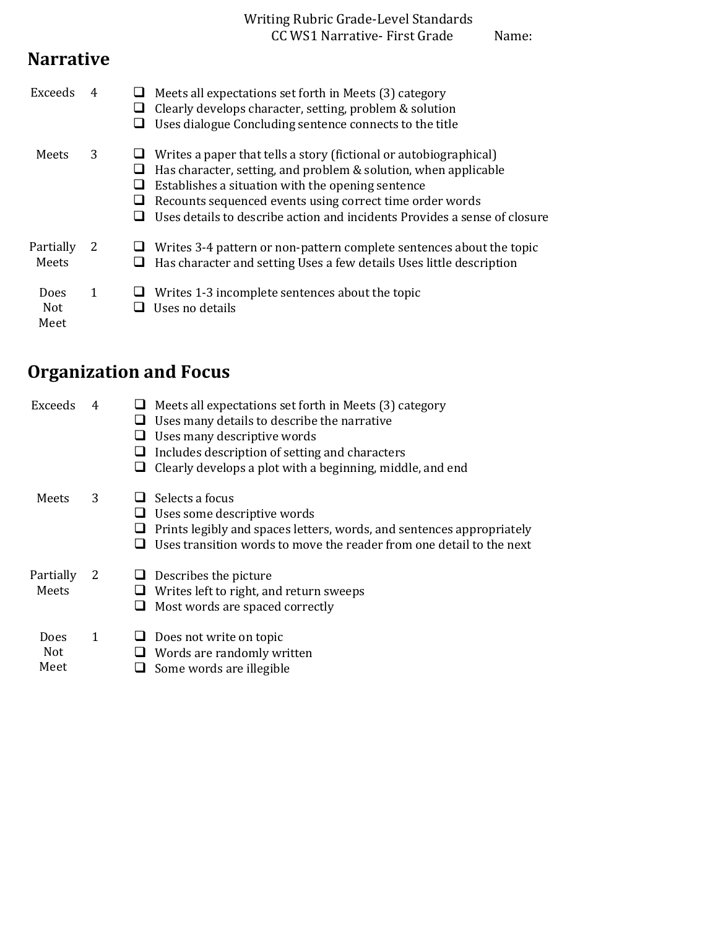#### Writing Rubric Grade-Level Standards CC WS1 Narrative- First Grade Name:

### **Narrative**

| Exceeds                           |   | Meets all expectations set forth in Meets (3) category<br>Clearly develops character, setting, problem & solution<br>Uses dialogue Concluding sentence connects to the title                                                                                                                                                       |
|-----------------------------------|---|------------------------------------------------------------------------------------------------------------------------------------------------------------------------------------------------------------------------------------------------------------------------------------------------------------------------------------|
| Meets                             | 3 | Writes a paper that tells a story (fictional or autobiographical)<br>Has character, setting, and problem & solution, when applicable<br>Establishes a situation with the opening sentence<br>Recounts sequenced events using correct time order words<br>Uses details to describe action and incidents Provides a sense of closure |
| Partially<br>Meets                | 2 | Writes 3-4 pattern or non-pattern complete sentences about the topic<br>Has character and setting Uses a few details Uses little description                                                                                                                                                                                       |
| <b>Does</b><br><b>Not</b><br>Meet | 1 | Writes 1-3 incomplete sentences about the topic<br>Uses no details                                                                                                                                                                                                                                                                 |

# **Organization and Focus**

| Exceeds                           | 4            | Meets all expectations set forth in Meets (3) category<br>Uses many details to describe the narrative<br>Uses many descriptive words<br>Includes description of setting and characters<br>Clearly develops a plot with a beginning, middle, and end |
|-----------------------------------|--------------|-----------------------------------------------------------------------------------------------------------------------------------------------------------------------------------------------------------------------------------------------------|
| Meets                             | 3            | Selects a focus<br>Uses some descriptive words<br>⊔<br>Prints legibly and spaces letters, words, and sentences appropriately<br>Uses transition words to move the reader from one detail to the next                                                |
| Partially<br>Meets                | <sup>2</sup> | Describes the picture<br>Writes left to right, and return sweeps<br>Most words are spaced correctly<br>⊔                                                                                                                                            |
| <b>Does</b><br><b>Not</b><br>Meet | 1            | Does not write on topic<br>Words are randomly written<br>Some words are illegible                                                                                                                                                                   |